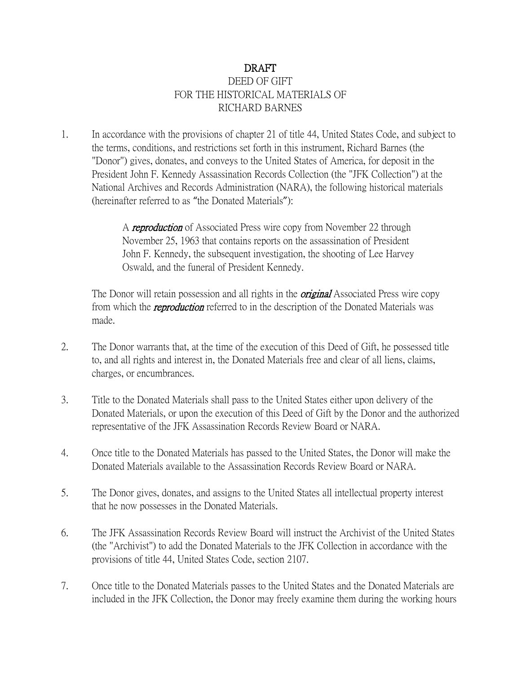## DRAFT DEED OF GIFT FOR THE HISTORICAL MATERIALS OF RICHARD BARNES

1. In accordance with the provisions of chapter 21 of title 44, United States Code, and subject to the terms, conditions, and restrictions set forth in this instrument, Richard Barnes (the "Donor") gives, donates, and conveys to the United States of America, for deposit in the President John F. Kennedy Assassination Records Collection (the "JFK Collection") at the National Archives and Records Administration (NARA), the following historical materials (hereinafter referred to as "the Donated Materials"):

> A reproduction of Associated Press wire copy from November 22 through November 25, 1963 that contains reports on the assassination of President John F. Kennedy, the subsequent investigation, the shooting of Lee Harvey Oswald, and the funeral of President Kennedy.

The Donor will retain possession and all rights in the *original* Associated Press wire copy from which the *reproduction* referred to in the description of the Donated Materials was made.

- 2. The Donor warrants that, at the time of the execution of this Deed of Gift, he possessed title to, and all rights and interest in, the Donated Materials free and clear of all liens, claims, charges, or encumbrances.
- 3. Title to the Donated Materials shall pass to the United States either upon delivery of the Donated Materials, or upon the execution of this Deed of Gift by the Donor and the authorized representative of the JFK Assassination Records Review Board or NARA.
- 4. Once title to the Donated Materials has passed to the United States, the Donor will make the Donated Materials available to the Assassination Records Review Board or NARA.
- 5. The Donor gives, donates, and assigns to the United States all intellectual property interest that he now possesses in the Donated Materials.
- 6. The JFK Assassination Records Review Board will instruct the Archivist of the United States (the "Archivist") to add the Donated Materials to the JFK Collection in accordance with the provisions of title 44, United States Code, section 2107.
- 7. Once title to the Donated Materials passes to the United States and the Donated Materials are included in the JFK Collection, the Donor may freely examine them during the working hours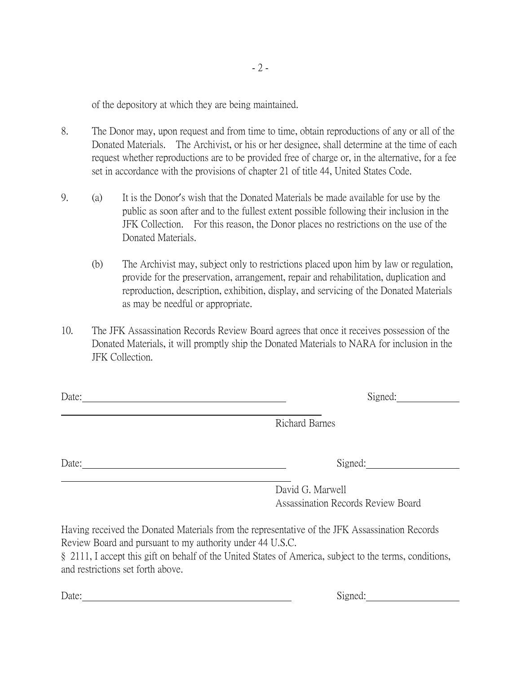of the depository at which they are being maintained.

- 8. The Donor may, upon request and from time to time, obtain reproductions of any or all of the Donated Materials. The Archivist, or his or her designee, shall determine at the time of each request whether reproductions are to be provided free of charge or, in the alternative, for a fee set in accordance with the provisions of chapter 21 of title 44, United States Code.
- 9. (a) It is the Donor's wish that the Donated Materials be made available for use by the public as soon after and to the fullest extent possible following their inclusion in the JFK Collection. For this reason, the Donor places no restrictions on the use of the Donated Materials.
	- (b) The Archivist may, subject only to restrictions placed upon him by law or regulation, provide for the preservation, arrangement, repair and rehabilitation, duplication and reproduction, description, exhibition, display, and servicing of the Donated Materials as may be needful or appropriate.
- 10. The JFK Assassination Records Review Board agrees that once it receives possession of the Donated Materials, it will promptly ship the Donated Materials to NARA for inclusion in the JFK Collection.

Richard Barnes

Date: Signed:

David G. Marwell Assassination Records Review Board

Having received the Donated Materials from the representative of the JFK Assassination Records Review Board and pursuant to my authority under 44 U.S.C.

§ 2111, I accept this gift on behalf of the United States of America, subject to the terms, conditions, and restrictions set forth above.

Date: Signed: Signed: Signed: Signed: Signed: Signed: Signed: Signed: Signed: Signed: Signed: Signed: Signed: Signed: Signed: Signed: Signed: Signed: Signed: Signed: Signed: Signed: Signed: Signed: Signed: Signed: Signed: